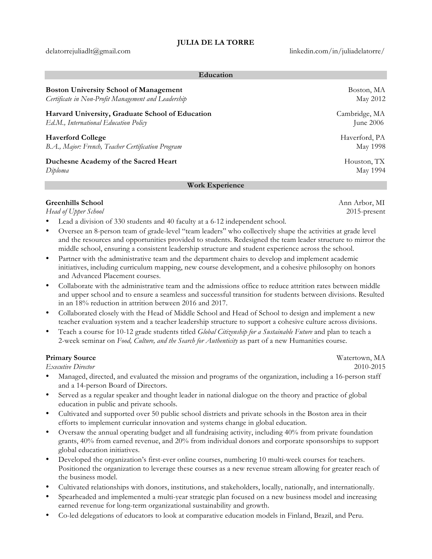delatorrejuliadlt@gmail.com linkedin.com/in/juliadelatorre/

| Education                                           |               |
|-----------------------------------------------------|---------------|
| <b>Boston University School of Management</b>       | Boston, MA    |
| Certificate in Non-Profit Management and Leadership | May 2012      |
| Harvard University, Graduate School of Education    | Cambridge, MA |
| Ed.M., International Education Policy               | June $2006$   |
| <b>Haverford College</b>                            | Haverford, PA |
| B.A., Major: French, Teacher Certification Program  | May 1998      |
| Duchesne Academy of the Sacred Heart                | Houston, TX   |

#### **Work Experience**

# **Greenhills School** Ann Arbor, MI

*Head of Upper School* 2015-present

- Lead a division of 330 students and 40 faculty at a 6-12 independent school.
- Oversee an 8-person team of grade-level "team leaders" who collectively shape the activities at grade level and the resources and opportunities provided to students. Redesigned the team leader structure to mirror the middle school, ensuring a consistent leadership structure and student experience across the school.
- Partner with the administrative team and the department chairs to develop and implement academic initiatives, including curriculum mapping, new course development, and a cohesive philosophy on honors and Advanced Placement courses.
- Collaborate with the administrative team and the admissions office to reduce attrition rates between middle and upper school and to ensure a seamless and successful transition for students between divisions. Resulted in an 18% reduction in attrition between 2016 and 2017.
- Collaborated closely with the Head of Middle School and Head of School to design and implement a new teacher evaluation system and a teacher leadership structure to support a cohesive culture across divisions.
- Teach a course for 10-12 grade students titled *Global Citizenship for a Sustainable Future* and plan to teach a 2-week seminar on *Food, Culture, and the Search for Authenticity* as part of a new Humanities course*.*

# **Primary Source** Watertown, MA

*Executive Director* 2010-2015

- Managed, directed, and evaluated the mission and programs of the organization, including a 16-person staff and a 14-person Board of Directors.
- Served as a regular speaker and thought leader in national dialogue on the theory and practice of global education in public and private schools.
- Cultivated and supported over 50 public school districts and private schools in the Boston area in their efforts to implement curricular innovation and systems change in global education.
- Oversaw the annual operating budget and all fundraising activity, including 40% from private foundation grants, 40% from earned revenue, and 20% from individual donors and corporate sponsorships to support global education initiatives.
- Developed the organization's first-ever online courses, numbering 10 multi-week courses for teachers. Positioned the organization to leverage these courses as a new revenue stream allowing for greater reach of the business model.
- Cultivated relationships with donors, institutions, and stakeholders, locally, nationally, and internationally.
- Spearheaded and implemented a multi-year strategic plan focused on a new business model and increasing earned revenue for long-term organizational sustainability and growth.
- Co-led delegations of educators to look at comparative education models in Finland, Brazil, and Peru.

*Diploma* May 1994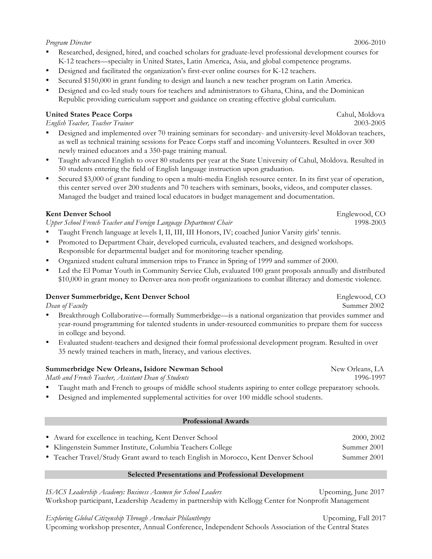#### *Program Director* 2006-2010

• Researched, designed, hired, and coached scholars for graduate-level professional development courses for K-12 teachers—specialty in United States, Latin America, Asia, and global competence programs.

- Designed and facilitated the organization's first-ever online courses for K-12 teachers.
- Secured \$150,000 in grant funding to design and launch a new teacher program on Latin America.
- Designed and co-led study tours for teachers and administrators to Ghana, China, and the Dominican Republic providing curriculum support and guidance on creating effective global curriculum.

### **United States Peace Corps** Cahul, Moldova

*English Teacher, Teacher Trainer* 2003-2005

- Designed and implemented over 70 training seminars for secondary- and university-level Moldovan teachers, as well as technical training sessions for Peace Corps staff and incoming Volunteers. Resulted in over 300 newly trained educators and a 350-page training manual.
- Taught advanced English to over 80 students per year at the State University of Cahul, Moldova. Resulted in 50 students entering the field of English language instruction upon graduation.
- Secured \$3,000 of grant funding to open a multi-media English resource center. In its first year of operation, this center served over 200 students and 70 teachers with seminars, books, videos, and computer classes. Managed the budget and trained local educators in budget management and documentation.

### **Kent Denver School** Englewood, CO

*Upper School French Teacher and Foreign Language Department Chair* 1998-2003

- Taught French language at levels I, II, III, III Honors, IV; coached Junior Varsity girls' tennis.
- Promoted to Department Chair, developed curricula, evaluated teachers, and designed workshops. Responsible for departmental budget and for monitoring teacher spending.
- Organized student cultural immersion trips to France in Spring of 1999 and summer of 2000.
- Led the El Pomar Youth in Community Service Club, evaluated 100 grant proposals annually and distributed \$10,000 in grant money to Denver-area non-profit organizations to combat illiteracy and domestic violence.

#### **Denver Summerbridge, Kent Denver School** Englewood, CO

- Breakthrough Collaborative—formally Summerbridge—is a national organization that provides summer and year-round programming for talented students in under-resourced communities to prepare them for success in college and beyond.
- Evaluated student-teachers and designed their formal professional development program. Resulted in over 35 newly trained teachers in math, literacy, and various electives.

### **Summerbridge New Orleans, Isidore Newman School** New Orleans, LA

*Math and French Teacher, Assistant Dean of Students* 1996-1997

- Taught math and French to groups of middle school students aspiring to enter college preparatory schools.
- Designed and implemented supplemental activities for over 100 middle school students.

### **Professional Awards**

• Award for excellence in teaching, Kent Denver School 2000, 2002 • Klingenstein Summer Institute, Columbia Teachers College Summer 2001 • Teacher Travel/Study Grant award to teach English in Morocco, Kent Denver School Summer 2001

#### **Selected Presentations and Professional Development**

*ISACS Leadership Academy: Business Acumen for School Leaders* Upcoming, June 2017 Workshop participant, Leadership Academy in partnership with Kellogg Center for Nonprofit Management

*Exploring Global Citizenship Through Armchair Philanthropy* Upcoming, Fall 2017

Upcoming workshop presenter, Annual Conference, Independent Schools Association of the Central States

*Dean of Faculty* Summer 2002